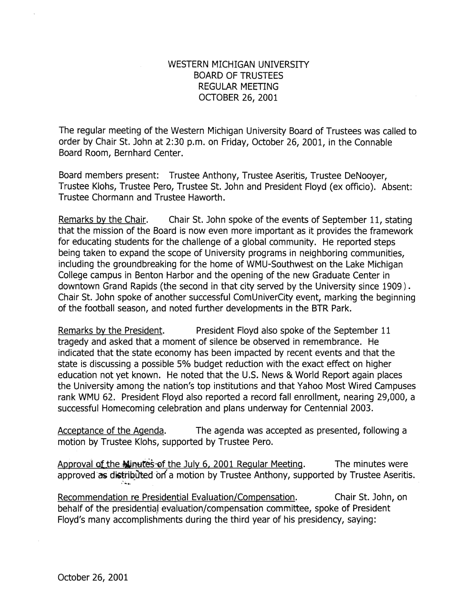## WESTERN MICHIGAN UNIVERSITY BOARD OF TRUSTEES REGULAR MEETING OCTOBER 26, 2001

The regular meeting of the Western Michigan University Board of Trustees was called to order by Chair St. John at 2:30 p.m. on Friday, October 26, 2001, in the Connable Board Room, Bernhard Center.

Board members present: Trustee Anthony, Trustee Aseritis, Trustee DeNooyer, Trustee Klohs, Trustee Pero, Trustee St. John and President Floyd (ex officio). Absent: Trustee Chormann and Trustee Haworth.

Remarks by the Chair. Chair St. John spoke of the events of September 11, stating that the mission of the Board is now even more important as it provides the framework for educating students for the challenge of a global community. He reported steps being taken to expand the scope of University programs in neighboring communities, including the groundbreaking for the home of WMU-Southwest on the Lake Michigan College campus in Benton Harbor and the opening of the new Graduate Center in downtown Grand Rapids (the second in that city served by the University since 1909). Chair St. John spoke of another successful ComUniverCity event, marking the beginning of the football season, and noted further developments in the BTR Park.

Remarks by the President. President Floyd also spoke of the September 11 tragedy and asked that a moment of silence be observed in remembrance. He indicated that the state economy has been impacted by recent events and that the state is discussing a possible 5% budget reduction with the exact effect on higher education not yet known. He noted that the U.S. News & World Report again places the University among the nation's top institutions and that Yahoo Most Wired Campuses rank WMU 62. President Floyd also reported a record fall enrollment, nearing 29,000, a successful Homecoming celebration and plans underway for Centennial 2003.

Acceptance of the Agenda. The agenda was accepted as presented, following a motion by Trustee Klohs, supported by Trustee Pero.

Approval of the Minutes-of the July 6, 2001 Regular Meeting. The minutes were approved as distributed on a motion by Trustee Anthony, supported by Trustee Aseritis.

Recommendation re Presidential Evaluation/Compensation. Chair St. John, on behalf of the presidential evaluation/compensation committee, spoke of President Floyd's many accomplishments during the third year of his presidency, saying: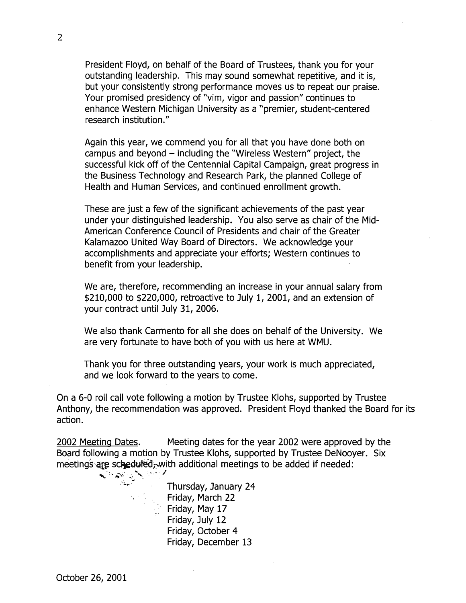President Floyd, on behalf of the Board of Trustees, thank you for your outstanding leadership. This may sound somewhat repetitive, and it is, but your consistently strong performance moves us to repeat our praise. Your promised presidency of "vim, vigor and passion" continues to enhance Western Michigan University as a "premier, student-centered research institution."

Again this year, we commend you for all that you have done both on campus and beyond  $-$  including the "Wireless Western" project, the successful kick off of the Centennial Capital Campaign, great progress in the Business Technology and Research Park, the planned College of Health and Human Services, and continued enrollment growth.

These are just a few of the significant achievements of the past year under your distinguished leadership. You also serve as chair of the Mid-American Conference Council of Presidents and chair of the Greater Kalamazoo United Way Board of Directors. We acknowledge your accomplishments and appreciate your efforts; Western continues to benefit from your leadership.

We are, therefore, recommending an increase in your annual salary from \$210,000 to \$220,000, retroactive to July 1, 2001, and an extension of your contract until July 31, 2006.

We also thank Carmento for all she does on behalf of the University. We are very fortunate to have both of you with us here at WMU.

Thank you for three outstanding years, your work is much appreciated, and we look forward to the years to come.

On a 6-0 roll call vote following a motion by Trustee Klohs, supported by Trustee Anthony, the recommendation was approved. President Floyd thanked the Board for its action.

2002 Meeting Dates. Meeting dates for the year 2002 were approved by the Board following a motion by Trustee Klohs, supported by Trustee DeNooyer. Six meetings are scheduted, with additional meetings to be added if needed: المستعجب أيلتهم المتعاطف

Thursday, January 24 Friday, March 22 Friday, May 17 Friday, July 12 Friday, October Friday, December 13

 $\mathcal{N}_{\text{max}}$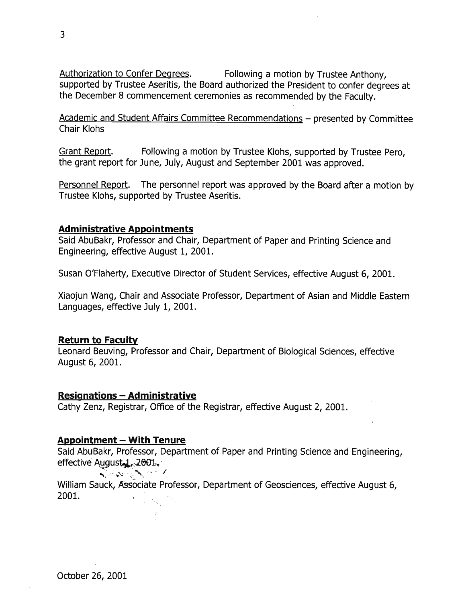Authorization to Confer Degrees. Following a motion by Trustee Anthony, supported by Trustee Aseritis, the Board authorized the President to confer degrees at the December 8 commencement ceremonies as recommended by the Faculty.

Academic and Student Affairs Committee Recommendations - presented by Committee Chair Klohs

Grant Report. Following a motion by Trustee Klohs, supported by Trustee Pero, the grant report for June, July, August and September 2001 was approved.

Personnel Report. The personnel report was approved by the Board after a motion by Trustee Klohs, supported by Trustee Aseritis.

#### Administrative Appointments

Said AbuBakr, Professor and Chair, Department of Paper and Printing Science and Engineering, effective August 1, 2001.

Susan O'Flaherty, Executive Director of Student Services, effective August 6, 2001.

Xiaojun Wang, Chair and Associate Professor, Department of Asian and Middle Eastern Languages, effective July 1, 2001.

#### Return to Faculty

Leonard Beuving, Professor and Chair, Department of Biological Sciences, effective August 6, 2001.

## $Resignations - Administrative$

Cathy Zenz, Registrar, Office of the Registrar, effective August 2, 2001.

#### $Appointment - With Tenure$

Said AbuBakr, Professor, Department of Paper and Printing Science and Engineering, effective August<sub>al</sub> 2001.

 $\label{eq:4} \mathbf{e}_{\mathbf{e}_{\mathbf{e}}}^{\mathbf{e}_{\mathbf{e}}^{\mathbf{e}}}\left\{e_{\mathbf{e}_{\mathbf{e}}}^{\mathbf{e}_{\mathbf{e}}^{\mathbf{e}}}\right\}=\mathbf{e}_{\mathbf{e}_{\mathbf{e}}}^{\mathbf{e}_{\mathbf{e}}^{\mathbf{e}}}\left\{e_{\mathbf{e}_{\mathbf{e}}}^{\mathbf{e}_{\mathbf{e}}^{\mathbf{e}}}\right\}=\mathbf{e}_{\mathbf{e}}^{\mathbf{e}_{\mathbf{e}}^{\mathbf{e}}}\left\{e_{\mathbf{e}_{\mathbf{e}}}^{\math$ William Sauck, Associate Professor, Department of Geosciences, effective August 6, 2001.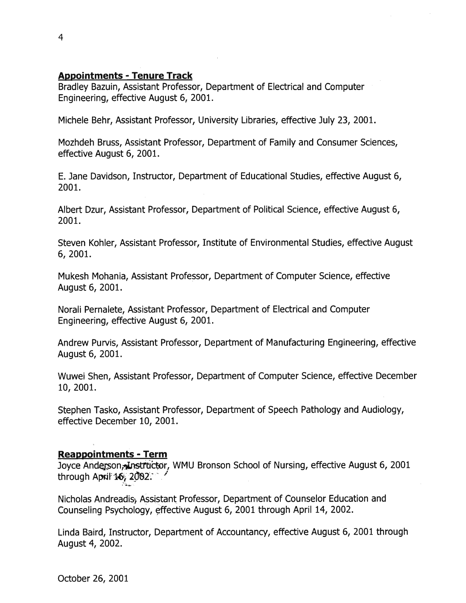## **Appointments - Tenure Track**

Bradley Bazuin, Assistant Professor, Department of Electrical and Computer Engineering, effective August 6, 2001.

Michele Behr, Assistant Professor, University Libraries, effective July 23, 2001.

Mozhdeh Bruss, Assistant Professor, Department of Family and Consumer Sciences, effective August 6, 2001.

E. Jane Davidson, Instructor, Department of Educational Studies, effective August 6, 2001.

Albert Dzur, Assistant Professor, Department of Political Science, effective August 6, 2001.

Steven Kohler, Assistant Professor, Institute of Environmental Studies, effective August 6, 2001.

Mukesh Mohania, Assistant Professor, Department of Computer Science, effective August 6, 2001.

Norali Pernalete, Assistant Professor, Department of Electrical and Computer Engineering, effective August 6, 2001.

Andrew Purvis, Assistant Professor, Department of Manufacturing Engineering, effective August 6, 2001.

Wuwei Shen, Assistant Professor, Department of Computer Science, effective December 10, 2001.

Stephen Tasko, Assistant Professor, Department of Speech Pathology and Audiology, effective December 10, 2001.

# **Reappointments - Term**

Joyce Anderson, Instructor, WMU Bronson School of Nursing, effective August 6, 2001 through April  $16, 2002$ .

Nicholas Andreadis, Assistant Professor, Department of Counselor Education and Counseling Psychology, effective August 6, 2001 through April 14, 2002.

Linda Baird, Instructor, Department of Accountancy, effective August 6, 2001 through August 4, 2002.

October 26, 2001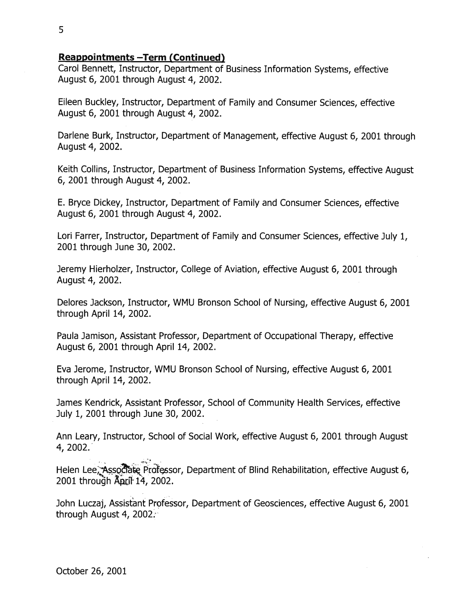## Reappointments -Term (Continued)

Carol Bennett, Instructor, Department of Business Information Systems, effective August 6, 2001 through August 4, 2002.

Eileen Buckley, Instructor, Department of Family and Consumer Sciences, effective August 6, 2001 through August 4, 2002.

Darlene Burk, Instructor, Department of Management, effective August 6, 2001 through August 4, 2002.

Keith Collins, Instructor, Department of Business Information Systems, effective August 6, 2001 through August 4, 2002.

E. Bryce Dickey, Instructor, Department of Family and Consumer Sciences, effective August 6, 2001 through August 4, 2002.

Lori Farrer, Instructor, Department of Family and Consumer Sciences, effective July 1, 2001 through June 30, 2002.

Jeremy Hierholzer, Instructor, College of Aviation, effective August 6, 2001 through August 4, 2002.

Delores Jackson, Instructor, WMU Bronson School of Nursing, effective August 6, <sup>2001</sup> through April 14, 2002.

Paula Jamison, Assistant Professor, Department of Occupational Therapy, effective August 6, 2001 through April 14, 2002.

Eva Jerome, Instructor, WMU Bronson School of Nursing, effective August 6, <sup>2001</sup> through April 14, 2002.

James Kendrick, Assistant Professor, School of Community Health Services, effective July 1, 2001 through June 30, 2002.

Ann Leary, Instructor, School of Social Work, effective August 6, 2001 through August 4,2002.

Helen Lee, Associate Professor, Department of Blind Rehabilitation, effective August 6, 2001 through April 14, 2002.

John Luczaj, Assistant Professor, Department of Geosciences, effective August 6, 2001 through August 4, 2002;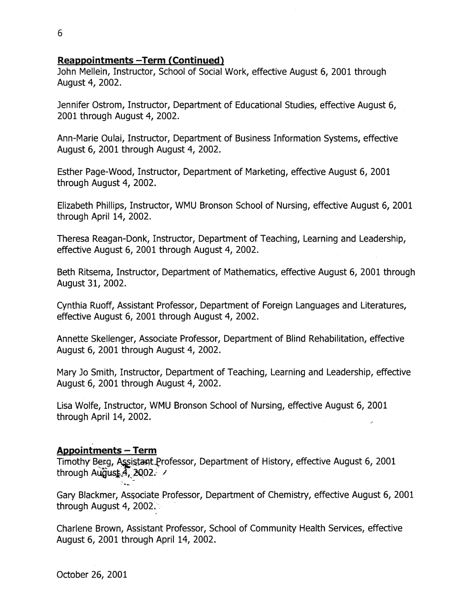## Reappointments -Term (Continued)

John Mellein, Instructor, School of Social Work, effective August 6, 2001 through August 4, 2002.

Jennifer Ostrom, Instructor, Department of Educational Studies, effective August 6, 2001 through August 4, 2002.

Ann-Marie Oulai, Instructor, Department of Business Information Systems, effective August 6, 2001 through August 4, 2002.

Esther Page-Wood, Instructor, Department of Marketing, effective August 6, 2001 through August 4, 2002.

Elizabeth Phillips, Instructor, WMU Bronson School of Nursing, effective August 6, <sup>2001</sup> through April 14, 2002.

Theresa Reagan-Donk, Instructor, Department of Teaching, Learning and Leadership, effective August 6, 2001 through August 4, 2002.

Beth Ritsema, Instructor, Department of Mathematics, effective August 6, 2001 through August 31, 2002.

Cynthia Ruoff, Assistant Professor, Department of Foreign Languages and Literatures, effective August 6, 2001 through August 4, 2002.

Annette Skellenger, Associate Professor, Department of Blind Rehabilitation, effective August 6, 2001 through August 4, 2002.

Mary Jo Smith, Instructor, Department of Teaching, Learning and Leadership, effective August 6, 2001 through August 4, 2002.

Lisa Wolfe, Instructor, WMU Bronson School of Nursing, effective August 6, <sup>2001</sup> through April 14, 2002.

# Appointments  $-$  Term

Skol

Timothy Berg, Assistant Professor, Department of History, effective August 6, 2001 through August  $A$ , 2002.

Gary Blackmer, Associate Professor, Department of Chemistry, effective August 6, 2001 through August 4, 2002,

Charlene Brown, Assistant Professor, School of Community Health Services, effective August 6, 2001 through April 14, 2002.

6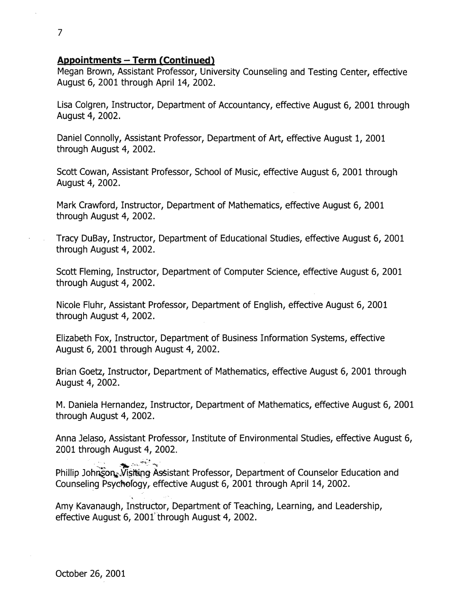### $Appointments - Term (Continued)$

Megan Brown, Assistant Professor, University Counseling and Testing Center, effective August 6, 2001 through April 14, 2002.

Lisa Colgren, Instructor, Department of Accountancy, effective August 6, 2001 through August 4, 2002.

Daniel Connolly, Assistant Professor, Department of Art, effective August 1, 2001 through August 4, 2002.

Scott Cowan, Assistant Professor, School of Music, effective August 6, 2001 through August 4, 2002.

Mark Crawford, Instructor, Department of Mathematics, effective August 6, 2001 through August 4, 2002.

Tracy DuBay, Instructor, Department of Educational Studies, effective August 6, 2001 through August 4, 2002.

Scott Fleming, Instructor, Department of Computer Science, effective August 6, 2001 through August 4, 2002.

Nicole Fluhr, Assistant Professor, Department of English, effective August 6, 2001 through August 4, 2002.

Elizabeth Fox, Instructor, Department of Business Information Systems, effective August 6, 2001 through August 4, 2002.

Brian Goetz, Instructor, Department of Mathematics, effective August 6, 2001 through August 4, 2002.

M. Daniela Hernandez, Instructor, Department of Mathematics, effective August 6, 2001 through August 4, 2002.

Anna Jelaso, Assistant Professor, Institute of Environmental Studies, effective August 6, 2001 through August 4, 2002.

المحافظة والمتعارض Phillip Johnson. Visiting Assistant Professor, Department of Counselor Education and Counseling Psychology, effective August 6, 2001 through April 14, 2002.

Amy Kavanaugh, Instructor, Department of Teaching, Learning, and Leadership, effective August 6, 2001" through August 4, 2002.

 $\overline{7}$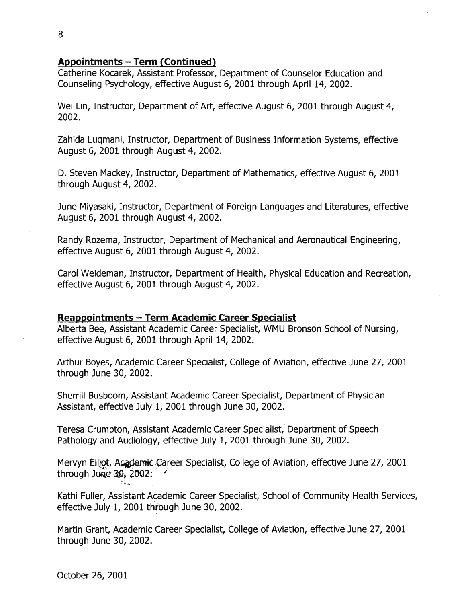## Appointments – Term (Continued)

Catherine Kocarek, Assistant Professor, Department of Counselor Education and Counseling Psychology, effective August 6, 2001 through April 14, 2002.

Wei Lin, Instructor, Department of Art, effective August 6, 2001 through August 4, 2002.

Zahida Luqmani, Instructor, Department of Business Information Systems, effective August 6, 2001 through August 4, 2002.

D. Steven Mackey, Instructor, Department of Mathematics, effective August 6, 2001 through August 4, 2002.

June Miyasaki, Instructor, Department of Foreign Languages and Literatures, effective August 6, 2001 through August 4, 2002.

Randy Rozema, Instructor, Department of Mechanical and Aeronautical Engineering, effective August 6, 2001 through August 4, 2002.

Carol Weideman, Instructor, Department of Health, Physical Education and Recreation, effective August 6, 2001 through August 4, 2002.

## Reappointments – Term Academic Career Specialist

Alberta Bee, Assistant Academic Career Specialist, WMU Bronson School of Nursing, effective August 6, 2001 through April 14, 2002.

Arthur Boyes, Academic Career Specialist, College of Aviation, effective June 27, 2001 through June 30, 2002.

Sherrill Busboom, Assistant Academic Career Specialist, Department of Physician Assistant, effective July 1, 2001 through June 30, 2002.

Teresa Crumpton, Assistant Academic Career Specialist, Department of Speech Pathology and Audiology, effective July 1, 2001 through June 30, 2002.

Mervyn Elliot, Academic-Career Specialist, College of Aviation, effective June 27, 2001 through June 30, 2002: $\frac{1}{2}$ 

Kathi Fuller, Assistant Academic Career Specialist, School of Community Health Services, effective July 1, 2001 through June 30, 2002.

Martin Grant, Academic Career Specialist, College of Aviation, effective June 27, 2001 through June 30, 2002.

8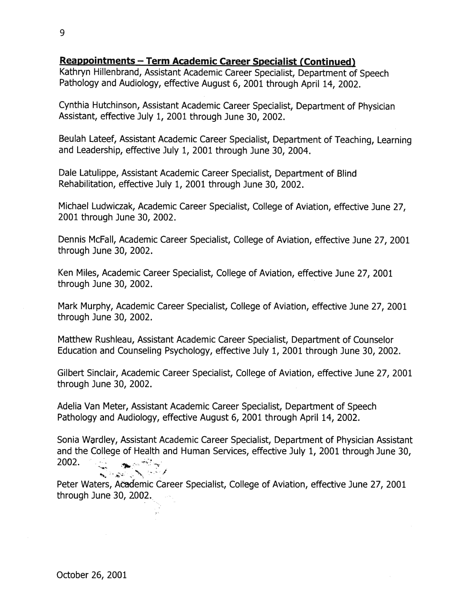## Reappointments – Term Academic Career Specialist (Continued)

Kathryn Hillenbrand, Assistant Academic Career Specialist, Department of Speech Pathology and Audiology, effective August 6, 2001 through April 14, 2002.

Cynthia Hutchinson, Assistant Academic Career Specialist, Department of Physician Assistant, effective July 1, 2001 through June 30, 2002.

Beulah Lateef, Assistant Academic Career Specialist, Department of Teaching, Learning and Leadership, effective July 1, 2001 through June 30, 2004.

Dale Latulippe, Assistant Academic Career Specialist, Department of Blind Rehabilitation, effective July 1, 2001 through June 30, 2002.

Michael Ludwiczak, Academic Career Specialist, College of Aviation, effective June 27, 2001 through June 30, 2002.

Dennis McFall, Academic Career Specialist, College of Aviation, effective June 27, 2001 through June 30, 2002.

Ken Miles, Academic Career Specialist, College of Aviation, effective June 27, 2001 through June 30, 2002.

Mark Murphy, Academic Career Specialist, College of Aviation, effective June 27, 2001 through June 30, 2002.

Matthew Rushleau, Assistant Academic Career Specialist, Department of Counselor Education and Counseling Psychology, effective July 1, 2001 through June 30, 2002.

Gilbert Sinclair, Academic Career Specialist, College of Aviation, effective June 27, 2001 through June 30, 2002.

Adelia Van Meter, Assistant Academic Career Specialist, Department of Speech Pathology and Audiology, effective August 6, 2001 through April 14, 2002.

Sonia Wardley, Assistant Academic Career Specialist, Department of Physician Assistant and the College of Health and Human Services, effective July 1, 2001 through June 30, 2002.  $\sum_{n=1}^{\infty}$  ,  $\sum_{n=1}^{\infty}$ 

Peter Waters, Academic Career Specialist, College of Aviation, effective June 27, 2001 through June 30, 2002.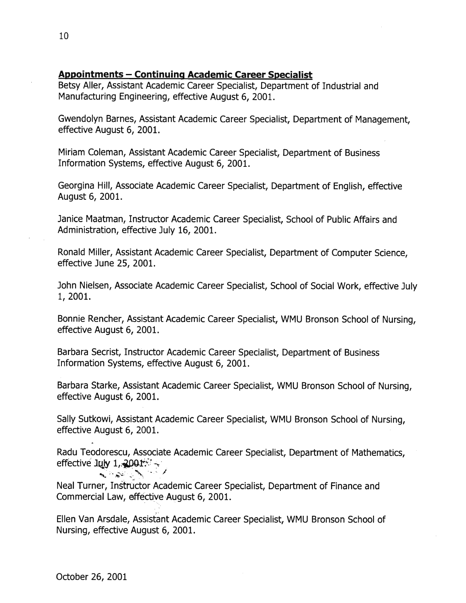## Appointments – Continuing Academic Career Specialist

Betsy Aller, Assistant Academic Career Specialist, Department of Industrial and Manufacturing Engineering, effective August 6, 2001.

Gwendolyn Barnes, Assistant Academic Career Specialist, Department of Management, effective August 6, 2001.

Miriam Coleman, Assistant Academic Career Specialist, Department of Business Information Systems, effective August 6, 2001.

Georgina Hill, Associate Academic Career Specialist, Department of English, effective August 6, 2001.

Janice Maatman, Instructor Academic Career Specialist, School of Public Affairs and Administration, effective July 16, 2001.

Ronald Miller, Assistant Academic Career Specialist, Department of Computer Science, effective June 25, 2001.

John Nielsen, Associate Academic Career Specialist, School of Social Work, effective July 1, 2001.

Bonnie Rencher, Assistant Academic Career Specialist, WMU Bronson School of Nursing, effective August 6, 2001.

Barbara Secrist, Instructor Academic Career Specialist, Department of Business Information Systems, effective August 6, 2001.

Barbara Starke, Assistant Academic Career Specialist, WMU Bronson School of Nursing, effective August 6, 2001.

Sally Sutkowi, Assistant Academic Career Specialist, WMU Bronson School of Nursing, effective August 6, 2001.

Radu Teodorescu, Associate Academic Career Specialist, Department of Mathematics, effective  $J_{\text{U}}$ ly 1, 2001;  $\sim$ **Many Property Commanders** 

Neal Turner, Instructor Academic Career Specialist, Department of Finance and Commercial Law, effective August 6, 2001.

Ellen Van Arsdale, Assistant Academic Career Specialist, WMU Bronson School of Nursing, effective August 6, 2001.

October 26, 2001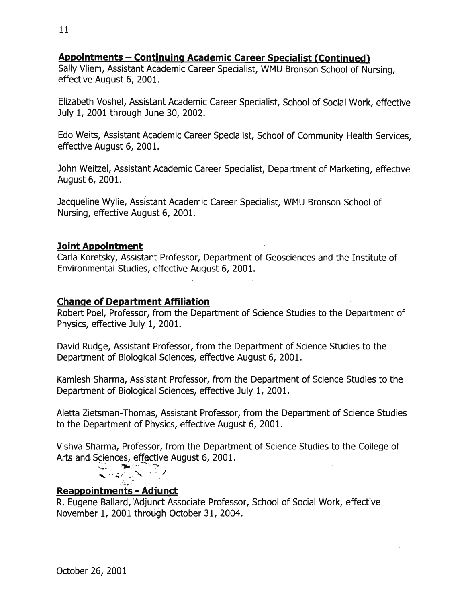# Appointments - Continuing Academic Career Specialist (Continued)

Sally Vliem, Assistant Academic Career Specialist, WMU Bronson School of Nursing, effective August 6, 2001.

Elizabeth Voshel, Assistant Academic Career Specialist, School of Social Work, effective July 1, 2001 through June 30, 2002.

Edo Weits, Assistant Academic Career Specialist, School of Community Health Services, effective August 6, 2001.

John Weitzel, Assistant Academic Career Specialist, Department of Marketing, effective August 6, 2001.

Jacqueline Wylie, Assistant Academic Career Specialist, WMU Bronson School of Nursing, effective August 6, 2001.

### Joint Appointment

Carla Koretsky, Assistant Professor, Department of Geosciences and the Institute of Environmental Studies, effective August 6, 2001.

### Change of Department Affiliation

Robert Poel, Professor, from the Department of Science Studies to the Department of Physics, effective July 1, 2001.

David Rudge, Assistant Professor, from the Department of Science Studies to the Department of Biological Sciences, effective August 6, 2001.

Kamlesh Sharma, Assistant Professor, from the Department of Science Studies to the Department of Biological Sciences, effective July 1, 2001.

Aletta Zietsman-Thomas, Assistant Professor, from the Department of Science Studies to the Department of Physics, effective August 6, 2001.

Vishva Sharma, Professor, from the Department of Science Studies to the College of Arts and Sciences, effective August 6, 2001.

2000年 سم المسلم المسلم المسلم المسلم المسلم المسلم المسلم المسلم المسلم المسلم المسلم المسلم المسلم المسلم المسلم ا<br>المسلم المسلم المسلم المسلم المسلم المسلم المسلم المسلم المسلم المسلم المسلم المسلم المسلم المسلم المسلم المسل<br>

#### Reappointments - Adjunct

R. Eugene Ballard, Adjunct Associate Professor, School of Social Work, effective November 1, 2001 through October 31, 2004.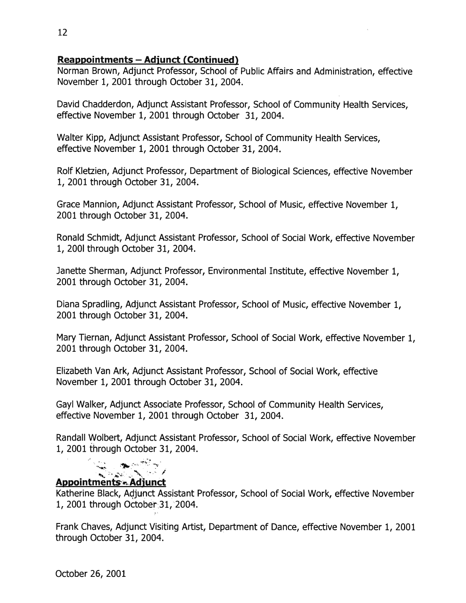# Reappointments - Adjunct (Continued)

Norman Brown, Adjunct Professor, School of Public Affairs and Administration, effective November 1, 2001 through October 31, 2004.

David Chadderdon, Adjunct Assistant Professor, School of Community Health Services, effective November 1, 2001 through October 31, 2004.

Walter Kipp, Adjunct Assistant Professor, School of Community Health Services, effective November 1, 2001 through October 31, 2004.

Rolf Kletzien, Adjunct Professor, Department of Biological Sciences, effective November 1, 2001 through October 31, 2004.

Grace Mannion, Adjunct Assistant Professor, School of Music, effective November 1, 2001 through October 31, 2004.

Ronald Schmidt, Adjunct Assistant Professor, School of Social Work, effective November 1, 2001 through October 31, 2004.

Janette Sherman, Adjunct Professor, Environmental Institute, effective November 1, 2001 through October 31, 2004.

Diana Spradling, Adjunct Assistant Professor, School of Music, effective November 1, 2001 through October 31, 2004.

Mary Tiernan, Adjunct Assistant Professor, School of Social Work, effective November 1, 2001 through October 31, 2004.

Elizabeth Van Ark, Adjunct Assistant Professor, School of Social Work, effective November 1, 2001 through October 31, 2004.

Gayl Walker, Adjunct Associate Professor, School of Community Health Services, effective November 1, 2001 through October 31, 2004.

Randall Wolbert, Adjunct Assistant Professor, School of Social Work, effective November 1, 2001 through October 31, 2004.

### en de la partide de la partide de la partide de la partide de la partide de la partide de la partide de la par<br>La partide de la partide de la partide de la partide de la partide de la partide de la partide de la partide d Appointments - Adjunct

**Comments** 

Katherine Black, Adjunct Assistant Professor, School of Social Work, effective November 1, 2001 through October 31, 2004.

Frank Chaves, Adjunct Visiting Artist, Department of Dance, effective November 1, 2001 through October 31, 2004.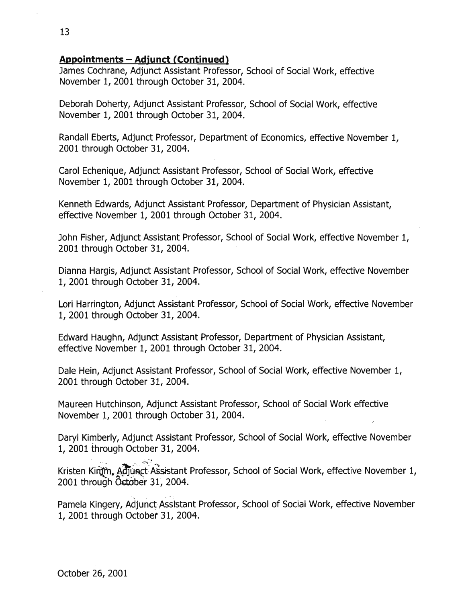### Appointments – Adjunct (Continued)

James Cochrane, Adjunct Assistant Professor, School of Social Work, effective November 1, 2001 through October 31, 2004.

Deborah Doherty, Adjunct Assistant Professor, School of Social Work, effective November 1, 2001 through October 31, 2004.

Randall Eberts, Adjunct Professor, Department of Economics, effective November 1, 2001 through October 31, 2004.

Carol Echenique, Adjunct Assistant Professor, School of Social Work, effective November 1, 2001 through October 31, 2004.

Kenneth Edwards, Adjunct Assistant Professor, Department of Physician Assistant, effective November 1, 2001 through October 31, 2004.

John Fisher, Adjunct Assistant Professor, School of Social Work, effective November 1, 2001 through October 31, 2004.

Dianna Hargis, Adjunct Assistant Professor, School of Social Work, effective November 1, 2001 through October 31, 2004.

Lori Harrington, Adjunct Assistant Professor, School of Social Work, effective November 1, 2001 through October 31, 2004.

Edward Haughn, Adjunct Assistant Professor, Department of Physician Assistant, effective November 1, 2001 through October 31, 2004.

Dale Hein, Adjunct Assistant Professor, School of Social Work, effective November 1, 2001 through October 31, 2004.

Maureen Hutchinson, Adjunct Assistant Professor, School of Social Work effective November 1, 2001 through October 31, 2004.

Daryl Kimberly, Adjunct Assistant Professor, School of Social Work, effective November 1, 2001 through October 31, 2004.

Kristen Kirtm, Adjunct Assistant Professor, School of Social Work, effective November 1, 2001 through October 31, 2004.

Pamela Kingery, Adjunct Assistant Professor, School of Social Work, effective November 1, 2001 through October 31, 2004.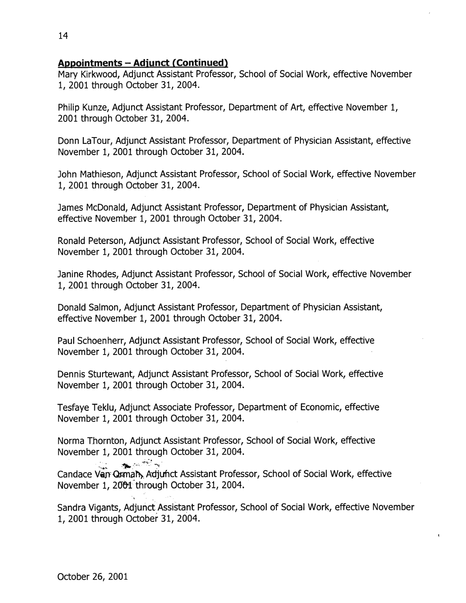14

Appointments - Adjunct (Continued) Mary Kirkwood, Adjunct Assistant Professor, School of Social Work, effective November 1, 2001 through October 31, 2004.

Philip Kunze, Adjunct Assistant Professor, Department of Art, effective November 1, 2001 through October 31, 2004.

Donn LaTour, Adjunct Assistant Professor, Department of Physician Assistant, effective November 1, 2001 through October 31, 2004.

John Mathieson, Adjunct Assistant Professor, School of Social Work, effective November 1, 2001 through October 31, 2004.

James McDonald, Adjunct Assistant Professor, Department of Physician Assistant, effective November 1, 2001 through October 31, 2004.

Ronald Peterson, Adjunct Assistant Professor, School of Social Work, effective November 1, 2001 through October 31, 2004.

Janine Rhodes, Adjunct Assistant Professor, School of Social Work, effective November 1, 2001 through October 31, 2004.

Donald Salmon, Adjunct Assistant Professor, Department of Physician Assistant, effective November 1, 2001 through October 31, 2004.

Paul Schoenherr, Adjunct Assistant Professor, School of Social Work, effective November 1, 2001 through October 31, 2004.

Dennis Sturtewant, Adjunct Assistant Professor, School of Social Work, effective November 1, 2001 through October 31, 2004.

Tesfaye Teklu, Adjunct Associate Professor, Department of Economic, effective November 1, 2001 through October 31, 2004.

Norma Thornton, Adjunct Assistant Professor, School of Social Work, effective November 1, 2001 through October 31, 2004.

**But on the real** Candace Van Quinaly, Adjunct Assistant Professor, School of Social Work, effective November 1, 2001 through October 31, 2004.

Sandra Vigants, Adjunct Assistant Professor, School of Social Work, effective November 1, 2001 through October 31, 2004.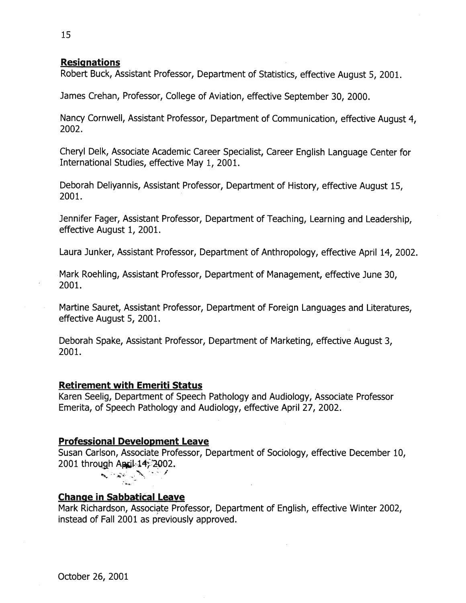## **Resignations**

Robert Buck, Assistant Professor, Department of Statistics, effective August 5, 2001.

James Crehan, Professor, College of Aviation, effective September 30, 2000.

Nancy Cornwell, Assistant Professor, Department of Communication, effective August 4, 2002.

Cheryl Delk, Associate Academic Career Specialist, Career English Language Center for International Studies, effective May 1, 2001.

Deborah Deliyannis, Assistant Professor, Department of History, effective August 15, 2001.

Jennifer Fager, Assistant Professor, Department of Teaching, Learning and Leadership, effective August 1, 2001.

Laura Junker, Assistant Professor, Department of Anthropology, effective April 14, 2002.

Mark Roehling, Assistant Professor, Department of Management, effective June 30, 2001.

Martine Sauret, Assistant Professor, Department of Foreign Languages and Literatures, effective August 5, 2001.

Deborah Spake, Assistant Professor, Department of Marketing, effective August 3, 2001.

#### Retirement with Emeriti Status

Karen Seelig, Department of Speech Pathology and Audiology, Associate Professor Emerita, of Speech Pathology and Audiology, effective April 27, 2002.

#### Professional Development Leave

Susan Carlson, Associate Professor, Department of Sociology, effective December 10,  $2001$  through April  $14$ ,  $2002$ .

 $\label{eq:Ricci} \mathbf{e}_{\mathbf{b}_{\mathbf{a}}} = \mathbf{e}_{\mathbf{a}} \mathbf{e}_{\mathbf{a}} + \mathbf{e}_{\mathbf{a}} \mathbf{e}_{\mathbf{a}} + \mathbf{e}_{\mathbf{a}} \mathbf{e}_{\mathbf{a}} + \mathbf{e}_{\mathbf{a}} \mathbf{e}_{\mathbf{a}}.$ 

### Change in Sabbatical Leave

Mark Richardson, Associate Professor, Department of English, effective Winter 2002, instead of Fall 2001 as previously approved.

15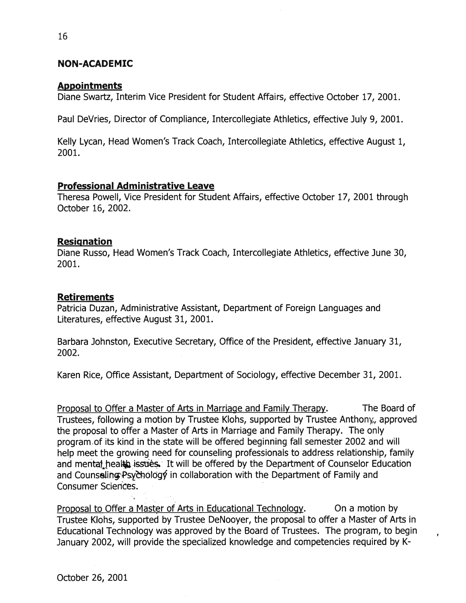# NON-ACADEMIC

## Appointments

Diane Swartz, Interim Vice President for Student Affairs, effective October 17, 2001.

Paul DeVries, Director of Compliance, Intercollegiate Athletics, effective July 9, 2001.

Kelly Lycan, Head Women's Track Coach, Intercollegiate Athletics, effective August 1, 2001.

# Professional Administrative Leave

Theresa Powell, Vice President for Student Affairs, effective October 17, 2001 through October 16, 2002.

## **Resignation**

Diane Russo, Head Women's Track Coach, Intercollegiate Athletics, effective June 30, 2001.

## **Retirements**

Patricia Duzan, Administrative Assistant, Department of Foreign Languages and Literatures, effective August 31, 2001.

Barbara Johnston, Executive Secretary, Office of the President, effective January 31, 2002.

Karen Rice, Office Assistant, Department of Sociology, effective December 31, 2001.

Proposal to Offer a Master of Arts in Marriage and Family Therapy. The Board of Trustees, following a motion by Trustee Klohs, supported by Trustee Anthony, approved the proposal to offer a Master of Arts in Marriage and Family Therapy. The only program.of its kind in the state will be offered beginning fall semester 2002 and will help meet the growing need for counseling professionals to address relationship, family and mentat health issues. It will be offered by the Department of Counselor Education and Counseling-Psychology in collaboration with the Department of Family and Consumer Sciences.

Proposal to Offer a Master of Arts in Educational Technology. On a motion by Trustee Klohs, supported by Trustee DeNooyer, the proposal to offer a Master of Arts in Educational Technology was approved by the Board of Trustees. The program, to begin January 2002, will provide the specialized knowledge and competencies required by K-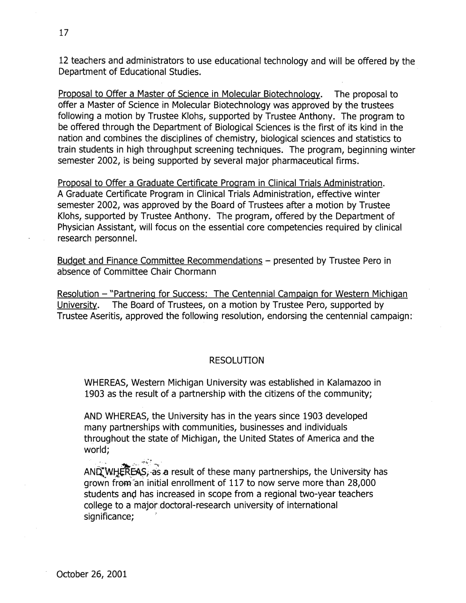12 teachers and administrators to use educational technology and will be offered by the Department of Educational Studies.

Proposal to Offer a Master of Science in Molecular Biotechnology. The proposal to offer a Master of Science in Molecular Biotechnology was approved by the trustees following a motion by Trustee Klohs, supported by Trustee Anthony. The program to be offered through the Department of Biological Sciences is the first of its kind in the nation and combines the disciplines of chemistry, biological sciences and statistics to train students in high throughput screening techniques. The program, beginning winter semester 2002, is being supported by several major pharmaceutical firms.

Proposal to Offer a Graduate Certificate Program in Clinical Trials Administration. Graduate Certificate Program in Clinical Trials Administration, effective winter semester 2002, was approved by the Board of Trustees after a motion by Trustee Klohs, supported by Trustee Anthony. The program, offered by the Department of Physician Assistant, will focus on the essential core competencies required by clinical research personnel.

Budget and Finance Committee Recommendations - presented by Trustee Pero in absence of Committee Chair Chormann

Resolution - "Partnering for Success: The Centennial Campaign for Western Michigan University. The Board of Trustees, on a motion by Trustee Pero, supported by Trustee Aseritis, approved the following resolution, endorsing the centennial campaign:

#### RESOLUTION

WHEREAS, Western Michigan University was established in Kalamazoo in 1903 as the result of a partnership with the citizens of the community;

AND WHEREAS, the University has in the years since 1903 developed many partnerships with communities, businesses and individuals throughout the state of Michigan, the United States of America and the world;

AND WHEREAS, as a result of these many partnerships, the University has grown from an initial enrollment of 117 to now serve more than 28,000 students and has increased in scope from a regional two-year teachers college to a major doctoral-research university of international significance;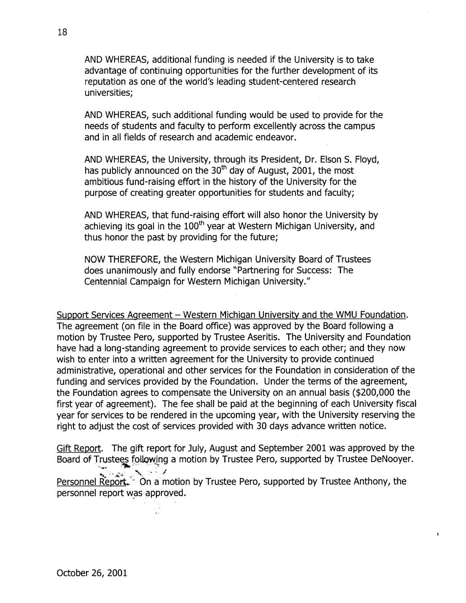AND WHEREAS, additional funding is needed if the University is to take advantage of continuing opportunities for the further development of its reputation as one of the world's leading student-centered research universities;

AND WHEREAS, such additional funding would be used to provide for the needs of students and faculty to perform excellently across the campus and in all fields of research and academic endeavor.

AND WHEREAS, the University, through its President, Dr. Elson S. Floyd, has publicly announced on the  $30<sup>th</sup>$  day of August, 2001, the most ambitious fund-raising effort in the history of the University for the purpose of creating greater opportunities for students and faculty;

AND WHEREAS, that fund-raising effort will also honor the University by achieving its goal in the  $100<sup>th</sup>$  year at Western Michigan University, and thus honor the past by providing for the future;

NOW THEREFORE, the Western Michigan University Board of Trustees does unanimously and fully endorse "Partnering for Success: The Centennial Campaign for Western Michigan University."

Support Services Agreement – Western Michigan University and the WMU Foundation. The agreement (on file in the Board office) was approved by the Board following motion by Trustee Pero, supported by Trustee Aseritis. The University and Foundation have had a long-standing agreement to provide services to each other; and they now wish to enter into a written agreement for the University to provide continued administrative, operational and other services for the Foundation in consideration of the funding and services provided by the Foundation. Under the terms of the agreement, the Foundation agrees to compensate the University on an annual basis (\$200,000 the first year of agreement). The fee shall be paid at the beginning of each University fiscal year for services to be rendered in the upcoming year, with the University reserving the right to adjust the cost of services provided with 30 days advance written notice.

Gift Report. The gift report for July, August and September 2001 was approved by the Board of Trustees following a motion by Trustee Pero, supported by Trustee DeNooyer. %\*:'-■• ->

Personnel Report," On motion by Trustee Pero, supported by Trustee Anthony, the personnel report was approved.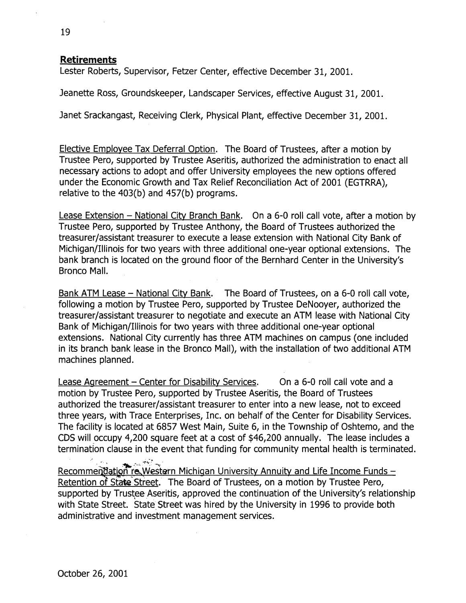### Retirements

Lester Roberts, Supervisor, Fetzer Center, effective December 31, 2001.

Jeanette Ross, Groundskeeper, Landscaper Services, effective August 31, 2001.

Janet Srackangast, Receiving Clerk, Physical Plant, effective December 31, 2001,

Elective Employee Tax Deferral Option. The Board of Trustees, after a motion by Trustee Pero, supported by Trustee Aseritis, authorized the administration to enact all necessary actions to adopt and offer University employees the new options offered under the Economic Growth and Tax Relief Reconciliation Act of 2001 (EGTRRA), relative to the 403(b) and 457(b) programs.

Lease Extension – National City Branch Bank. On a 6-0 roll call vote, after a motion by Trustee Pero, supported by Trustee Anthony, the Board of Trustees authorized the treasurer/assistant treasurer to execute a lease extension with National City Bank of Michigan/Illinois for two years with three additional one-year optional extensions. The bank branch is located on the ground floor of the Bernhard Center in the University's Bronco Mall.

Bank ATM Lease - National City Bank. The Board of Trustees, on a 6-0 roll call vote, following a motion by Trustee Pero, supported by Trustee DeNooyer, authorized the treasurer/assistant treasurer to negotiate and execute an ATM lease with National City Bank of Michigan/Illinois for two years with three additional one-year optional extensions. National City currently has three ATM machines on campus (one included in its branch bank lease in the Bronco Mall), with the installation of two additional ATM machines planned.

Lease Agreement  $-$  Center for Disability Services. On a 6-0 roll call vote and a motion by Trustee Pero, supported by Trustee Aseritis, the Board of Trustees authorized the treasurer/assistant treasurer to enter into a new lease, not to exceed three years, with Trace Enterprises, Inc. on behalf of the Center for Disability Services. The facility is located at 6857 West Main, Suite 6, in the Township of Oshtemo, and the CDS will occupy 4,200 square feet at a cost of \$46,200 annually. The lease includes a termination clause in the event that funding for community mental health is terminated.

Recommendation re Western Michigan University Annuity and Life Income Funds -Retention of State Street. The Board of Trustees, on a motion by Trustee Pero, supported by Trustee Aseritis, approved the continuation of the University's relationship with State Street. State Street was hired by the University in 1996 to provide both administrative and investment management services.

19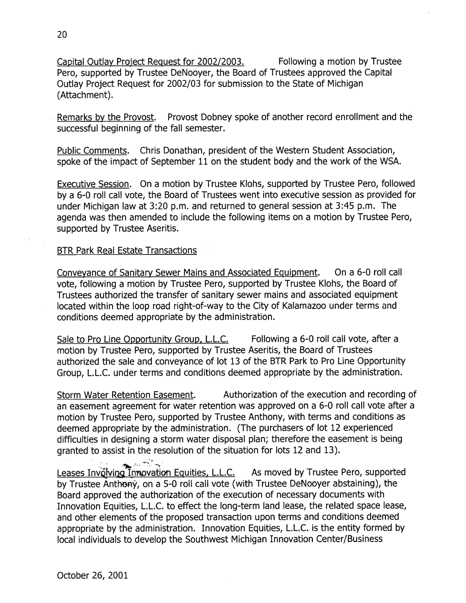Capital Outlay Project Request for 2002/2003. Following a motion by Trustee Pero, supported by Trustee DeNooyer, the Board of Trustees approved the Capital Outlay Project Request for 2002/03 for submission to the State of Michigan (Attachment).

Remarks by the Provost. Provost Dobney spoke of another record enrollment and the successful beginning of the fall semester.

Public Comments. Chris Donathan, president of the Western Student Association, spoke of the impact of September 11 on the student body and the work of the WSA.

Executive Session. On a motion by Trustee Klohs, supported by Trustee Pero, followed by 6-0 roll call vote, the Board of Trustees went into executive session as provided for under Michigan law at 3:20 p.m. and returned to general session at 3:45 p.m. The agenda was then amended to include the following items on a motion by Trustee Pero, supported by Trustee Aseritis.

## **BTR Park Real Estate Transactions**

Conveyance of Sanitary Sewer Mains and Associated Equipment. On a 6-0 roll call vote, following a motion by Trustee Pero, supported by Trustee Klohs, the Board of Trustees authorized the transfer of sanitary sewer mains and associated equipment located within the loop road right-of-way to the City of Kalamazoo under terms and conditions deemed appropriate by the administration.

Sale to Pro Line Opportunity Group, L.L.C. Following a 6-0 roll call vote, after a motion by Trustee Pero, supported by Trustee Aseritis, the Board of Trustees authorized the sale and conveyance of lot 13 of the BTR Park to Pro Line Opportunity Group, L.L.C. under terms and conditions deemed appropriate by the administration.

Storm Water Retention Easement. Authorization of the execution and recording of an easement agreement for water retention was approved on a 6-0 roll call vote after a motion by Trustee Pero, supported by Trustee Anthony, with terms and conditions as deemed appropriate by the administration. (The purchasers of lot 12 experienced difficulties in designing a storm water disposal plan; therefore the easement is being granted to assist in the resolution of the situation for lots 12 and 13).

 $\mathbf{w} \sim \mathbb{R}^2$ Leases Involving Innovation Equities, L.L.C. As moved by Trustee Pero, supported by Trustee Anthony, on 5-0 roll call vote (with Trustee DeNooyer abstaining), the Board approved the authorization of the execution of necessary documents with Innovation Equities, L.L.C. to effect the long-term land lease, the related space lease, and other elements of the proposed transaction upon terms and conditions deemed appropriate by the administration. Innovation Equities, L.L.C. is the entity formed by local individuals to develop the Southwest Michigan Innovation Center/Business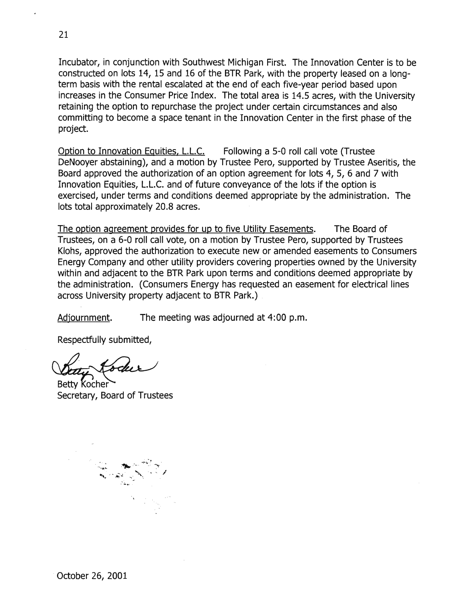Incubator, in conjunction with Southwest Michigan First. The Innovation Center is to be constructed on lots 14, 15 and 16 of the BTR Park, with the property leased on a longterm basis with the rental escalated at the end of each five-year period based upon increases in the Consumer Price Index. The total area is 14.5 acres, with the University retaining the option to repurchase the project under certain circumstances and also committing to become a space tenant in the Innovation Center in the first phase of the project.

Option to Innovation Equities, L.L.C. Following 5-0 roll call vote (Trustee DeNooyer abstaining), and motion by Trustee Pero, supported by Trustee Aseritis, the Board approved the authorization of an option agreement for lots 4, 5, 6 and 7 with Innovation Equities, L.L.C. and of future conveyance of the lots if the option is exercised, under terms and conditions deemed appropriate by the administration. The lots total approximately 20.8 acres.

The option agreement provides for up to five Utility Easements. The Board of Trustees, on a 6-0 roll call vote, on a motion by Trustee Pero, supported by Trustees Klohs, approved the authorization to execute new or amended easements to Consumers Energy Company and other utility providers covering properties owned by the University within and adjacent to the BTR Park upon terms and conditions deemed appropriate by the administration. (Consumers Energy has requested an easement for electrical lines across University property adjacent to BTR Park.)

Adjournment. The meeting was adjourned at 4:00 p.m.

Respectfully submitted,

Betty Kocher Secretary, Board of Trustees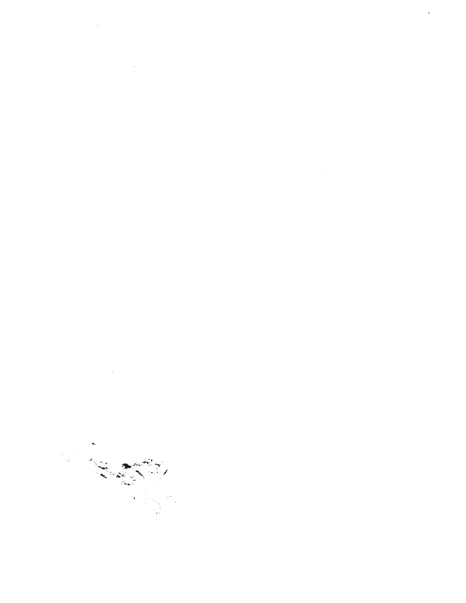$\label{eq:2.1} \frac{1}{\sqrt{2}}\left(\frac{1}{\sqrt{2}}\right)^{2} \left(\frac{1}{\sqrt{2}}\right)^{2} \left(\frac{1}{\sqrt{2}}\right)^{2} \left(\frac{1}{\sqrt{2}}\right)^{2} \left(\frac{1}{\sqrt{2}}\right)^{2} \left(\frac{1}{\sqrt{2}}\right)^{2} \left(\frac{1}{\sqrt{2}}\right)^{2} \left(\frac{1}{\sqrt{2}}\right)^{2} \left(\frac{1}{\sqrt{2}}\right)^{2} \left(\frac{1}{\sqrt{2}}\right)^{2} \left(\frac{1}{\sqrt{2}}\right)^{2} \left(\$ 

 $\label{eq:2.1} \frac{1}{\sqrt{2}}\int_{0}^{\infty}\frac{1}{\sqrt{2\pi}}\left(\frac{1}{\sqrt{2\pi}}\int_{0}^{\infty}\frac{1}{\sqrt{2\pi}}\left(\frac{1}{\sqrt{2\pi}}\right)\frac{1}{\sqrt{2\pi}}\right)\frac{d\omega}{\omega}d\omega.$ 

 $\label{eq:2.1} \mathcal{L}(\mathcal{L}^{\text{max}}_{\mathcal{L}}(\mathcal{L}^{\text{max}}_{\mathcal{L}})) \leq \mathcal{L}(\mathcal{L}^{\text{max}}_{\mathcal{L}}(\mathcal{L}^{\text{max}}_{\mathcal{L}}))$ 

 $\label{eq:2} \mathcal{L} = \mathcal{L} \left( \mathcal{L} \right) \left( \mathcal{L} \right) \left( \mathcal{L} \right)$ 

 $\frac{1}{2}$ 

 $\label{eq:2.1} \frac{1}{\sqrt{2}}\int_{0}^{\infty}\frac{1}{\sqrt{2\pi}}\left(\frac{1}{\sqrt{2\pi}}\right)^{2\alpha} \frac{1}{\sqrt{2\pi}}\int_{0}^{\infty}\frac{1}{\sqrt{2\pi}}\left(\frac{1}{\sqrt{2\pi}}\right)^{\alpha} \frac{1}{\sqrt{2\pi}}\frac{1}{\sqrt{2\pi}}\int_{0}^{\infty}\frac{1}{\sqrt{2\pi}}\frac{1}{\sqrt{2\pi}}\frac{1}{\sqrt{2\pi}}\frac{1}{\sqrt{2\pi}}\frac{1}{\sqrt{2\pi}}\frac{1}{\sqrt{2\pi}}$  $\label{eq:2.1} \frac{1}{\sqrt{2}}\int_{0}^{\infty}\frac{1}{\sqrt{2\pi}}\left(\frac{1}{\sqrt{2\pi}}\right)^{2\alpha} \frac{1}{\sqrt{2\pi}}\int_{0}^{\infty}\frac{1}{\sqrt{2\pi}}\left(\frac{1}{\sqrt{2\pi}}\right)^{\alpha} \frac{1}{\sqrt{2\pi}}\frac{1}{\sqrt{2\pi}}\int_{0}^{\infty}\frac{1}{\sqrt{2\pi}}\frac{1}{\sqrt{2\pi}}\frac{1}{\sqrt{2\pi}}\frac{1}{\sqrt{2\pi}}\frac{1}{\sqrt{2\pi}}\frac{1}{\sqrt{2\pi}}$ 

 $\label{eq:2.1} \frac{1}{\sqrt{2\pi}}\int_{\mathbb{R}^3} \frac{d\mu}{\sqrt{2\pi}} \left( \frac{d\mu}{\sqrt{2\pi}} \right)^2 \frac{d\mu}{\sqrt{2\pi}} \frac{d\mu}{\sqrt{2\pi}} \frac{d\mu}{\sqrt{2\pi}} \frac{d\mu}{\sqrt{2\pi}} \frac{d\mu}{\sqrt{2\pi}} \frac{d\mu}{\sqrt{2\pi}} \frac{d\mu}{\sqrt{2\pi}} \frac{d\mu}{\sqrt{2\pi}} \frac{d\mu}{\sqrt{2\pi}} \frac{d\mu}{\sqrt{2\pi}} \frac{d\mu}{\sqrt{2\$